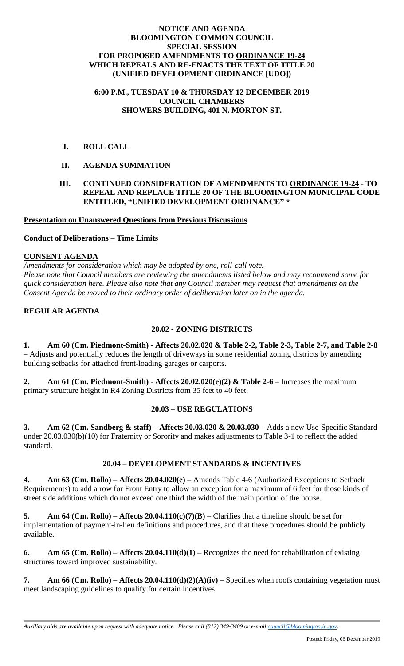#### **NOTICE AND AGENDA BLOOMINGTON COMMON COUNCIL SPECIAL SESSION FOR PROPOSED AMENDMENTS TO ORDINANCE 19-24 WHICH REPEALS AND RE-ENACTS THE TEXT OF TITLE 20 (UNIFIED DEVELOPMENT ORDINANCE [UDO])**

#### **6:00 P.M., TUESDAY 10 & THURSDAY 12 DECEMBER 2019 COUNCIL CHAMBERS SHOWERS BUILDING, 401 N. MORTON ST.**

 **I. ROLL CALL**

# **II. AGENDA SUMMATION**

### **III. CONTINUED CONSIDERATION OF AMENDMENTS TO ORDINANCE 19-24 - TO REPEAL AND REPLACE TITLE 20 OF THE BLOOMINGTON MUNICIPAL CODE ENTITLED, "UNIFIED DEVELOPMENT ORDINANCE" \***

**Presentation on Unanswered Questions from Previous Discussions**

#### **Conduct of Deliberations – Time Limits**

### **CONSENT AGENDA**

*Amendments for consideration which may be adopted by one, roll-call vote. Please note that Council members are reviewing the amendments listed below and may recommend some for quick consideration here. Please also note that any Council member may request that amendments on the Consent Agenda be moved to their ordinary order of deliberation later on in the agenda.*

# **REGULAR AGENDA**

# **20.02 - ZONING DISTRICTS**

**1. Am 60 (Cm. Piedmont-Smith) - Affects 20.02.020 & Table 2-2, Table 2-3, Table 2-7, and Table 2-8 –** Adjusts and potentially reduces the length of driveways in some residential zoning districts by amending building setbacks for attached front-loading garages or carports.

**2. Am 61 (Cm. Piedmont-Smith) - Affects 20.02.020(e)(2) & Table 2-6 –** Increases the maximum primary structure height in R4 Zoning Districts from 35 feet to 40 feet.

# **20.03 – USE REGULATIONS**

**3. Am 62 (Cm. Sandberg & staff) – Affects 20.03.020 & 20.03.030 –** Adds a new Use-Specific Standard under 20.03.030(b)(10) for Fraternity or Sorority and makes adjustments to Table 3-1 to reflect the added standard.

# **20.04 – DEVELOPMENT STANDARDS & INCENTIVES**

**4. Am 63 (Cm. Rollo) – Affects 20.04.020(e) –** Amends Table 4-6 (Authorized Exceptions to Setback Requirements) to add a row for Front Entry to allow an exception for a maximum of 6 feet for those kinds of street side additions which do not exceed one third the width of the main portion of the house.

**5. Am 64 (Cm. Rollo)** – **Affects 20.04.110(c)(7)(B)** – Clarifies that a timeline should be set for implementation of payment-in-lieu definitions and procedures, and that these procedures should be publicly available.

**6. Am 65 (Cm. Rollo) – Affects 20.04.110(d)(1) –** Recognizes the need for rehabilitation of existing structures toward improved sustainability.

**7. Am 66 (Cm. Rollo) – Affects 20.04.110(d)(2)(A)(iv) –** Specifies when roofs containing vegetation must meet landscaping guidelines to qualify for certain incentives.